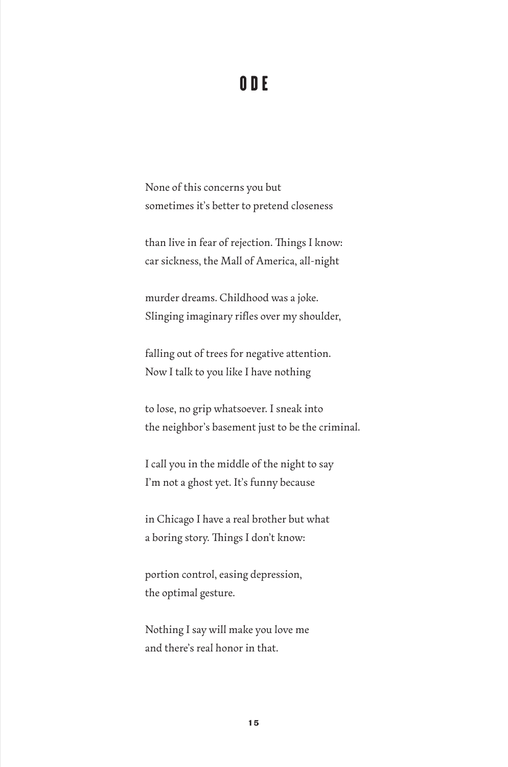## ODE

None of this concerns you but sometimes it's better to pretend closeness

than live in fear of rejection. Things I know: car sickness, the Mall of America, all-night

murder dreams. Childhood was a joke. Slinging imaginary rifles over my shoulder,

falling out of trees for negative attention. Now I talk to you like I have nothing

to lose, no grip whatsoever. I sneak into the neighbor's basement just to be the criminal.

I call you in the middle of the night to say I'm not a ghost yet. It's funny because

in Chicago I have a real brother but what a boring story. Things I don't know:

portion control, easing depression, the optimal gesture.

Nothing I say will make you love me and there's real honor in that.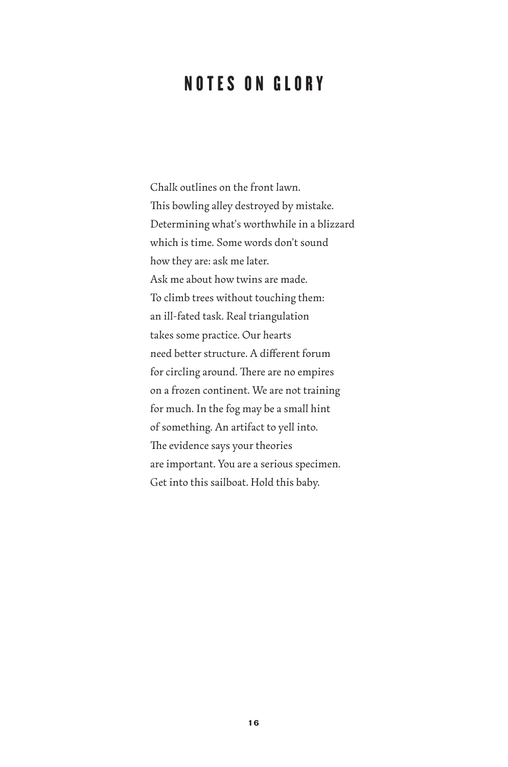## NOTES ON GLORY

Chalk outlines on the front lawn. This bowling alley destroyed by mistake. Determining what's worthwhile in a blizzard which is time. Some words don't sound how they are: ask me later. Ask me about how twins are made. To climb trees without touching them: an ill-fated task. Real triangulation takes some practice. Our hearts need better structure. A different forum for circling around. There are no empires on a frozen continent. We are not training for much. In the fog may be a small hint of something. An artifact to yell into. The evidence says your theories are important. You are a serious specimen. Get into this sailboat. Hold this baby.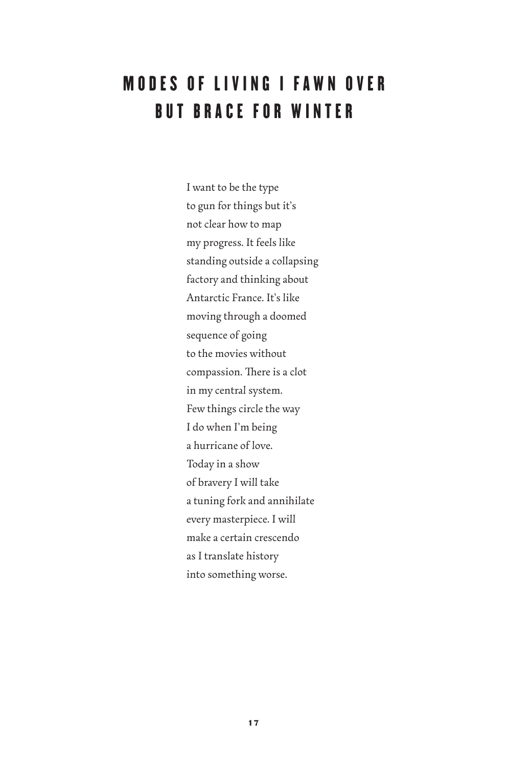## **MODES OF LIVING I FAWN OVER** BUT BRACE FOR WINTER

I want to be the type to gun for things but it's not clear how to map my progress. It feels like standing outside a collapsing factory and thinking about Antarctic France. It's like moving through a doomed sequence of going to the movies without compassion. There is a clot in my central system. Few things circle the way I do when I'm being a hurricane of love. Today in a show of bravery I will take a tuning fork and annihilate every masterpiece. I will make a certain crescendo as I translate history into something worse.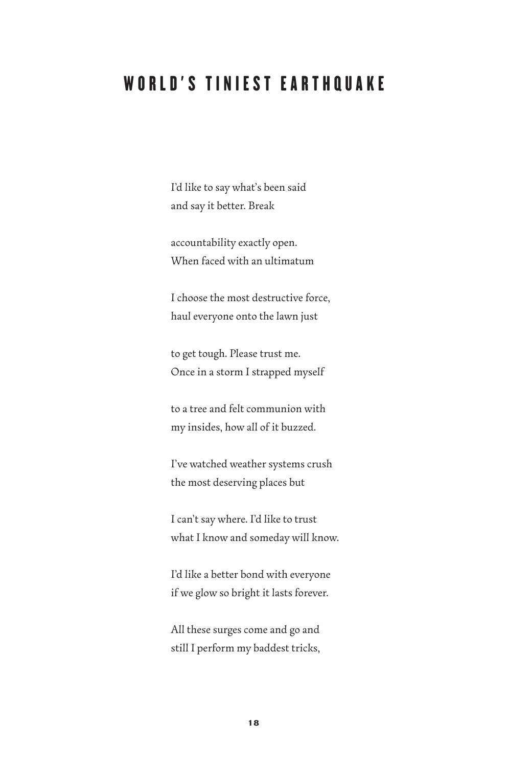## WORLD'S TINIEST EARTHQUAKE

I'd like to say what's been said and say it better. Break

accountability exactly open. When faced with an ultimatum

I choose the most destructive force, haul everyone onto the lawn just

to get tough. Please trust me. Once in a storm I strapped myself

to a tree and felt communion with my insides, how all of it buzzed.

I've watched weather systems crush the most deserving places but

I can't say where. I'd like to trust what I know and someday will know.

I'd like a better bond with everyone if we glow so bright it lasts forever.

All these surges come and go and still I perform my baddest tricks,